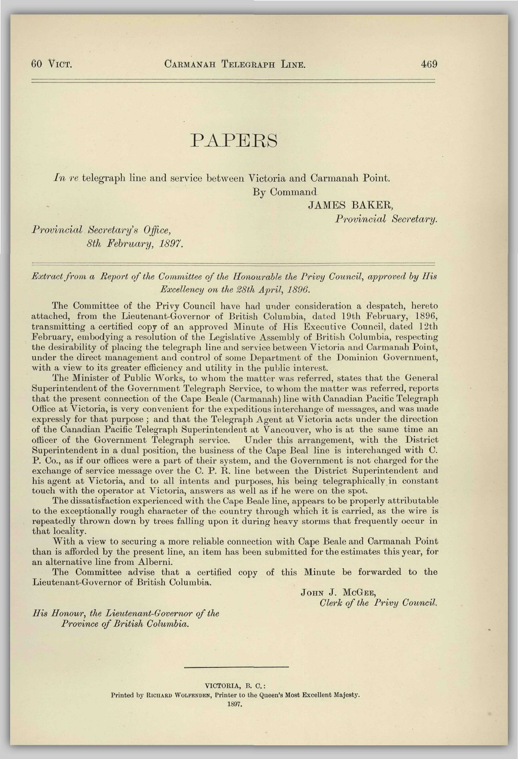## PAPERS

*In re* telegraph line and service between Victoria and Carmanah Point. By Command

JAMES BAKER,

*Provincial Secretary.* 

*Provincial Secretary's Office, 8th February, 1897.* 

## *Extract from a Report of the Committee of the Honourable the Privy Council, approved by His Excellency on the 28th April, 1896.*

The Committee of the Privy Council have had under consideration a despatch, hereto attached, from the Lieutenant-Governor of British Columbia, dated 19th February, 1896, transmitting a certified copy of an approved Minute of His Executive Council, dated 12th February, embodying a resolution of the Legislative Assembly of British Columbia, respecting the desirability of placing the telegraph line and service between Victoria and Carmanah Point, under the direct management and control of some Department of the Dominion Government, with a view to its greater efficiency and utility in the public interest.

The Minister of Public Works, to whom the matter was referred, states that the General Superintendent of the Government Telegraph Service, to whom the matter was referred, reports that the present connection of the Cape Beale (Carmanah) line with Canadian Pacific Telegraph Office at Victoria, is very convenient for the expeditious interchange of messages, and was made expressly for that purpose ; and that the Telegraph Agent at Victoria acts under the direction of the Canadian Pacific Telegraph Superintendent at Vancouver, who is at the same time an officer of the Government Telegraph service. Under this arrangement, with the District Superintendent in a dual position, the business of the Cape Beal line is interchanged with C. P. Co., as if our offices were a part of their system, and the Government is not charged for the exchange of service message over the C. P. R. line between the District Superintendent and his agent at Victoria, and to all intents and purposes, his being telegraphically in constant touch with the operator at Victoria, answers as well as if he were on the spot.

The dissatisfaction experienced with the Cape Beale line, appears to be properly attributable to the exceptionally rough character of the country through which it is carried, as the wire is repeatedly thrown down by trees falling upon it during heavy storms that frequently occur in that locality.

With a view to securing a more reliable connection with Cape Beale and Carmanah Point than is afforded by the present line, an item has been submitted for the estimates this year, for an alternative line from Alberni.

The Committee advise that a certified copy of this Minute be forwarded to the Lieutenant-Governor of British Columbia.

> JOHN J. MCGEE, *Clerk of the Privy Council.*

*His Honour, the Lieutenant-Governor of the Province of British Columbia.* 

> VICTORIA, B. 0.: Printed by RICHARD WOLFENDEN, Printer to the Queen's Most Excellent Majesty. 1897.